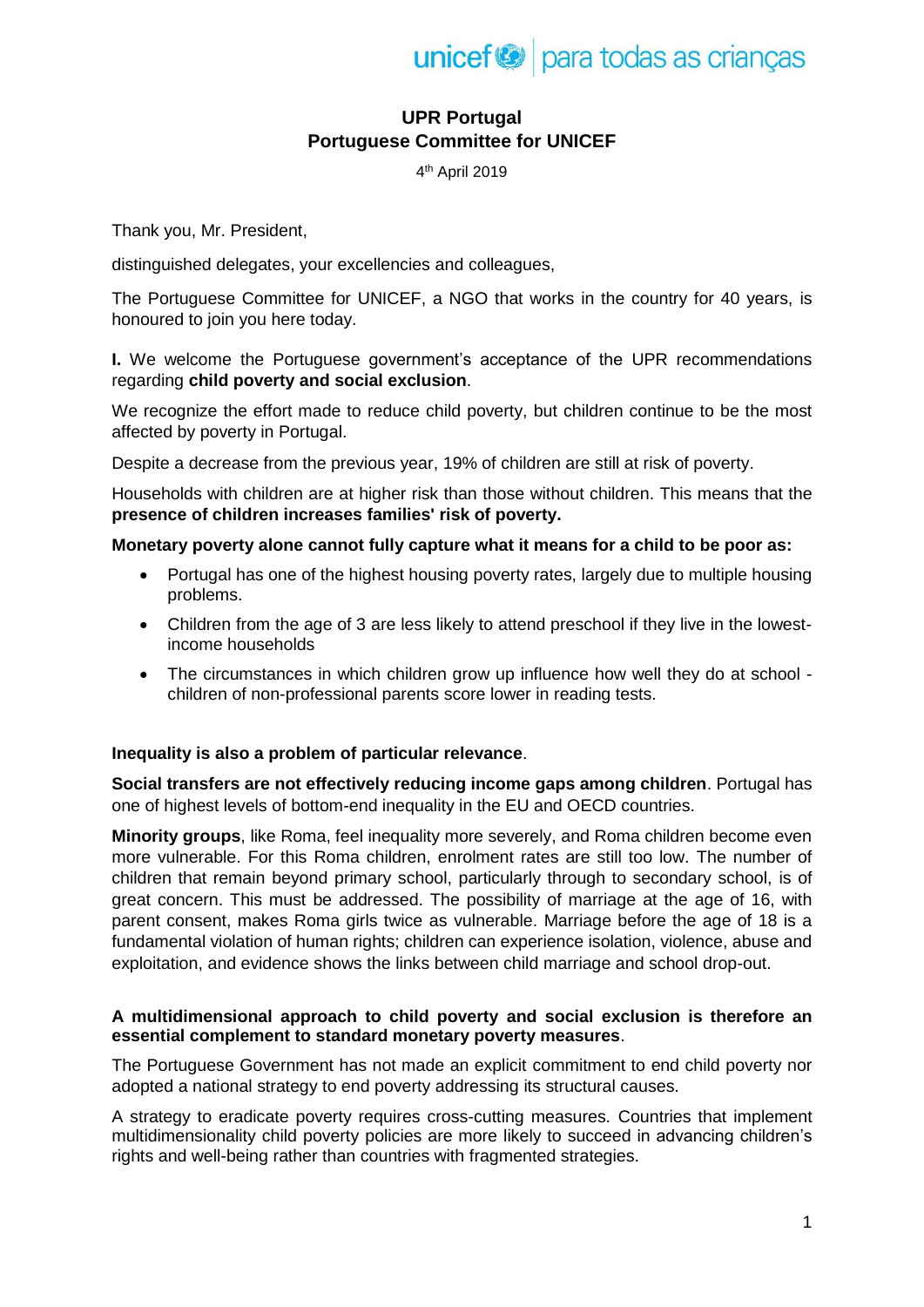

# **UPR Portugal Portuguese Committee for UNICEF**

4 th April 2019

Thank you, Mr. President,

distinguished delegates, your excellencies and colleagues,

The Portuguese Committee for UNICEF, a NGO that works in the country for 40 years, is honoured to join you here today.

**I.** We welcome the Portuguese government's acceptance of the UPR recommendations regarding **child poverty and social exclusion**.

We recognize the effort made to reduce child poverty, but children continue to be the most affected by poverty in Portugal.

Despite a decrease from the previous year, 19% of children are still at risk of poverty.

Households with children are at higher risk than those without children. This means that the **presence of children increases families' risk of poverty.**

### **Monetary poverty alone cannot fully capture what it means for a child to be poor as:**

- Portugal has one of the highest housing poverty rates, largely due to multiple housing problems.
- Children from the age of 3 are less likely to attend preschool if they live in the lowestincome households
- The circumstances in which children grow up influence how well they do at school children of non-professional parents score lower in reading tests.

## **Inequality is also a problem of particular relevance**.

**Social transfers are not effectively reducing income gaps among children**. Portugal has one of highest levels of bottom-end inequality in the EU and OECD countries.

**Minority groups**, like Roma, feel inequality more severely, and Roma children become even more vulnerable. For this Roma children, enrolment rates are still too low. The number of children that remain beyond primary school, particularly through to secondary school, is of great concern. This must be addressed. The possibility of marriage at the age of 16, with parent consent, makes Roma girls twice as vulnerable. Marriage before the age of 18 is a fundamental violation of human rights; children can experience isolation, violence, abuse and exploitation, and evidence shows the links between child marriage and school drop-out.

### **A multidimensional approach to child poverty and social exclusion is therefore an essential complement to standard monetary poverty measures**.

The Portuguese Government has not made an explicit commitment to end child poverty nor adopted a national strategy to end poverty addressing its structural causes.

A strategy to eradicate poverty requires cross-cutting measures. Countries that implement multidimensionality child poverty policies are more likely to succeed in advancing children's rights and well-being rather than countries with fragmented strategies.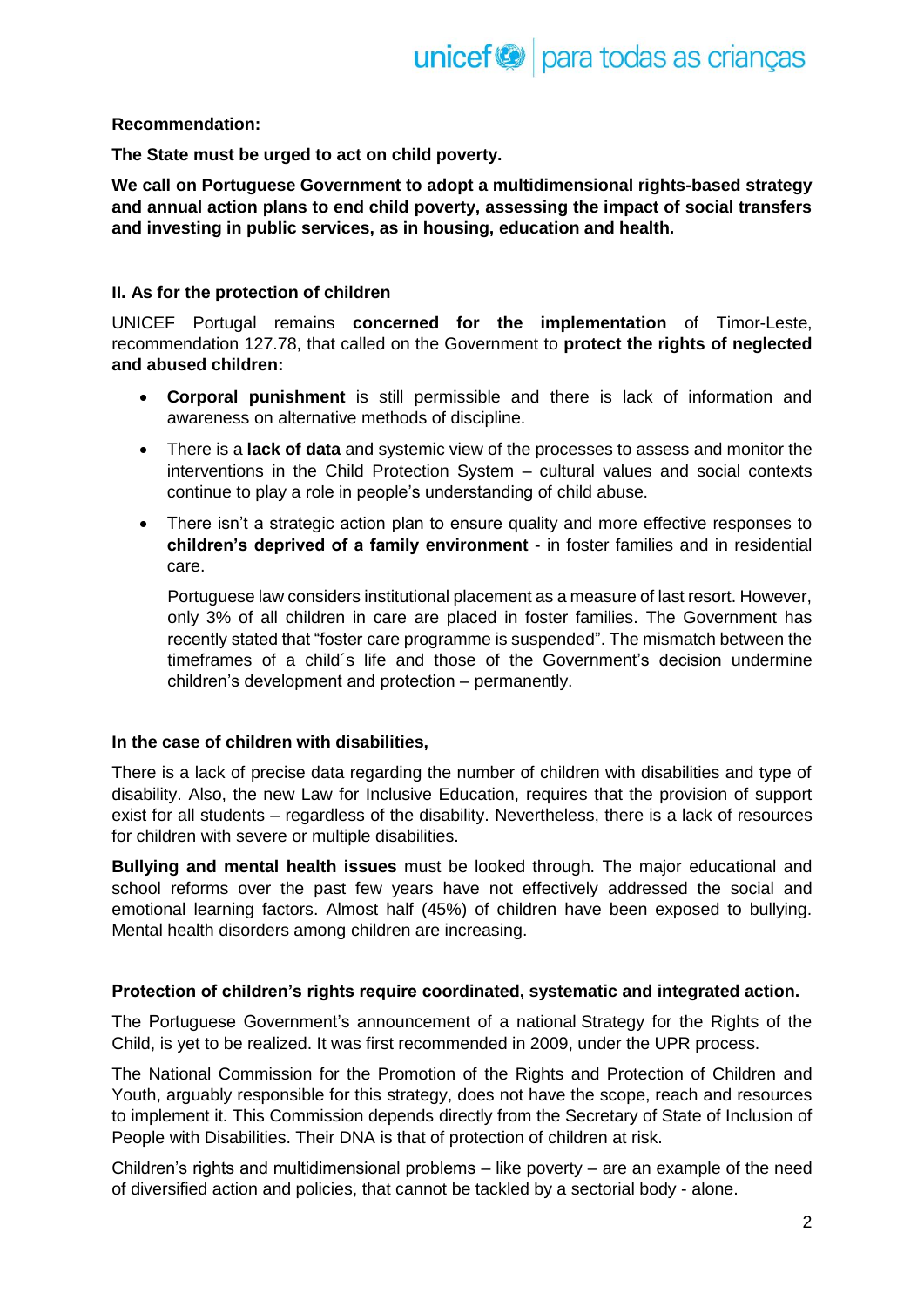## **Recommendation:**

**The State must be urged to act on child poverty.**

**We call on Portuguese Government to adopt a multidimensional rights-based strategy and annual action plans to end child poverty, assessing the impact of social transfers and investing in public services, as in housing, education and health.**

### **II. As for the protection of children**

UNICEF Portugal remains **concerned for the implementation** of Timor-Leste, recommendation 127.78, that called on the Government to **protect the rights of neglected and abused children:**

- **Corporal punishment** is still permissible and there is lack of information and awareness on alternative methods of discipline.
- There is a **lack of data** and systemic view of the processes to assess and monitor the interventions in the Child Protection System – cultural values and social contexts continue to play a role in people's understanding of child abuse.
- There isn't a strategic action plan to ensure quality and more effective responses to **children's deprived of a family environment** - in foster families and in residential care.

Portuguese law considers institutional placement as a measure of last resort. However, only 3% of all children in care are placed in foster families. The Government has recently stated that "foster care programme is suspended". The mismatch between the timeframes of a child´s life and those of the Government's decision undermine children's development and protection – permanently.

#### **In the case of children with disabilities,**

There is a lack of precise data regarding the number of children with disabilities and type of disability. Also, the new Law for Inclusive Education, requires that the provision of support exist for all students – regardless of the disability. Nevertheless, there is a lack of resources for children with severe or multiple disabilities.

**Bullying and mental health issues** must be looked through. The major educational and school reforms over the past few years have not effectively addressed the social and emotional learning factors. Almost half (45%) of children have been exposed to bullying. Mental health disorders among children are increasing.

#### **Protection of children's rights require coordinated, systematic and integrated action.**

The Portuguese Government's announcement of a national Strategy for the Rights of the Child, is yet to be realized. It was first recommended in 2009, under the UPR process.

The National Commission for the Promotion of the Rights and Protection of Children and Youth, arguably responsible for this strategy, does not have the scope, reach and resources to implement it. This Commission depends directly from the Secretary of State of Inclusion of People with Disabilities. Their DNA is that of protection of children at risk.

Children's rights and multidimensional problems – like poverty – are an example of the need of diversified action and policies, that cannot be tackled by a sectorial body - alone.